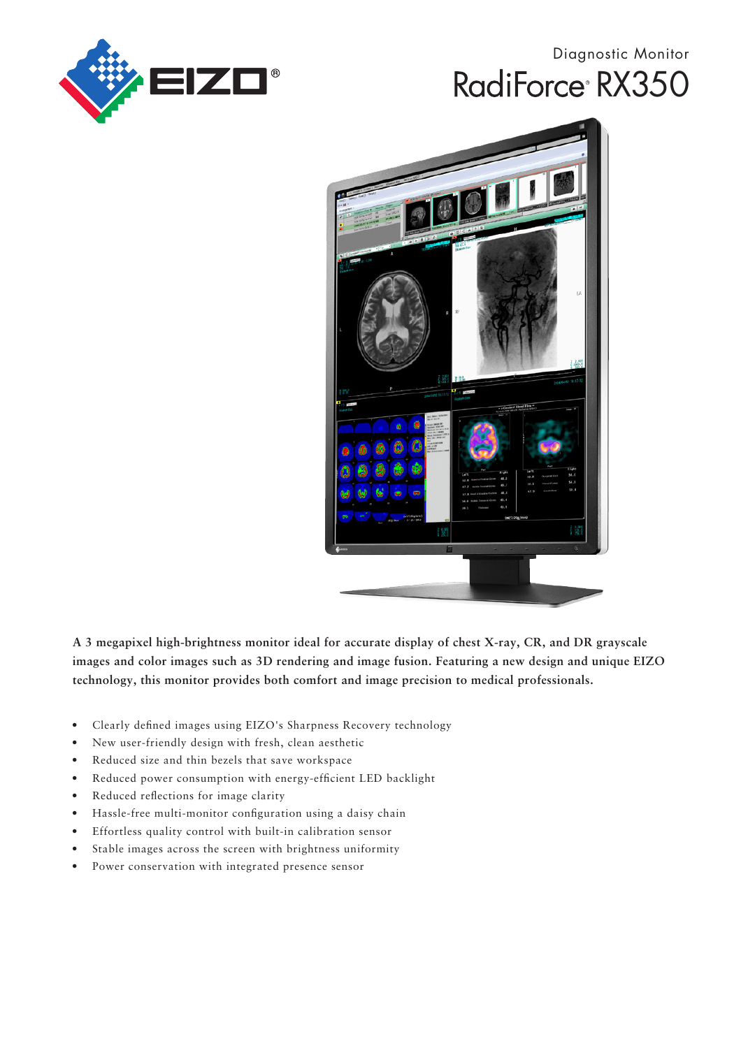

# Diagnostic Monitor RadiForce<sup>®</sup> RX350



**A 3 megapixel high-brightness monitor ideal for accurate display of chest X-ray, CR, and DR grayscale images and color images such as 3D rendering and image fusion. Featuring a new design and unique EIZO technology, this monitor provides both comfort and image precision to medical professionals.**

- Clearly defined images using EIZO's Sharpness Recovery technology
- New user-friendly design with fresh, clean aesthetic
- Reduced size and thin bezels that save workspace
- Reduced power consumption with energy-efficient LED backlight
- Reduced reflections for image clarity
- Hassle-free multi-monitor configuration using a daisy chain
- Effortless quality control with built-in calibration sensor
- Stable images across the screen with brightness uniformity
- Power conservation with integrated presence sensor